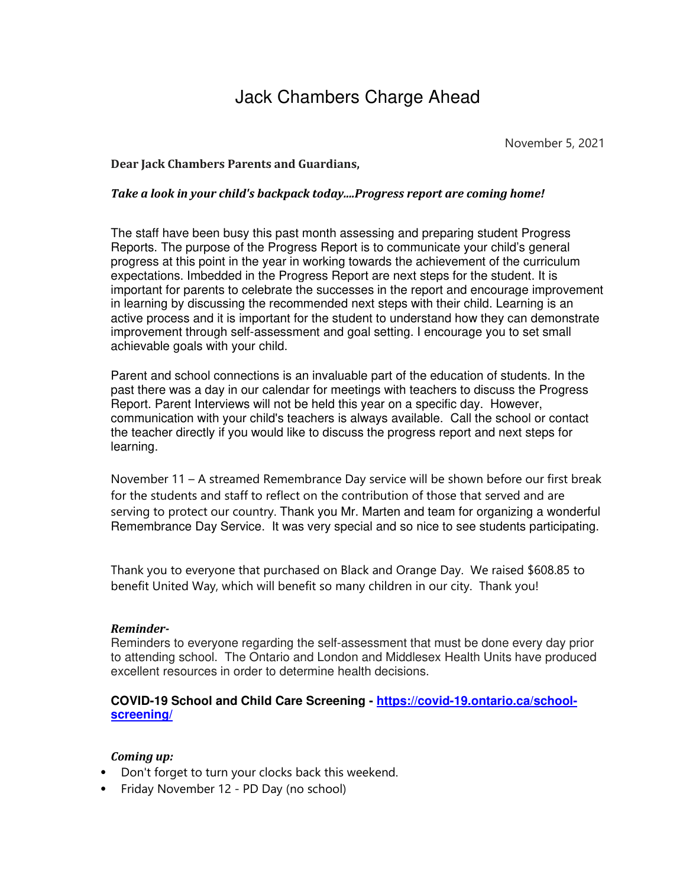# Jack Chambers Charge Ahead

November 5, 2021

### **Dear Jack Chambers Parents and Guardians,**

#### *Take a look in your child's backpack today....Progress report are coming home!*

The staff have been busy this past month assessing and preparing student Progress Reports. The purpose of the Progress Report is to communicate your child's general progress at this point in the year in working towards the achievement of the curriculum expectations. Imbedded in the Progress Report are next steps for the student. It is important for parents to celebrate the successes in the report and encourage improvement in learning by discussing the recommended next steps with their child. Learning is an active process and it is important for the student to understand how they can demonstrate improvement through self-assessment and goal setting. I encourage you to set small achievable goals with your child.

Parent and school connections is an invaluable part of the education of students. In the past there was a day in our calendar for meetings with teachers to discuss the Progress Report. Parent Interviews will not be held this year on a specific day. However, communication with your child's teachers is always available. Call the school or contact the teacher directly if you would like to discuss the progress report and next steps for learning.

November 11 – A streamed Remembrance Day service will be shown before our first break for the students and staff to reflect on the contribution of those that served and are serving to protect our country. Thank you Mr. Marten and team for organizing a wonderful Remembrance Day Service. It was very special and so nice to see students participating.

Thank you to everyone that purchased on Black and Orange Day. We raised \$608.85 to benefit United Way, which will benefit so many children in our city. Thank you!

#### *Reminder-*

Reminders to everyone regarding the self-assessment that must be done every day prior to attending school. The Ontario and London and Middlesex Health Units have produced excellent resources in order to determine health decisions.

## **COVID-19 School and Child Care Screening - https://covid-19.ontario.ca/schoolscreening/**

## *Coming up:*

- Don't forget to turn your clocks back this weekend.
- Friday November 12 PD Day (no school)